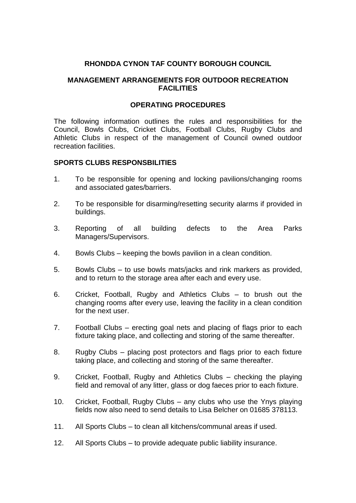### **RHONDDA CYNON TAF COUNTY BOROUGH COUNCIL**

### **MANAGEMENT ARRANGEMENTS FOR OUTDOOR RECREATION FACILITIES**

#### **OPERATING PROCEDURES**

The following information outlines the rules and responsibilities for the Council, Bowls Clubs, Cricket Clubs, Football Clubs, Rugby Clubs and Athletic Clubs in respect of the management of Council owned outdoor recreation facilities.

#### **SPORTS CLUBS RESPONSBILITIES**

- 1. To be responsible for opening and locking pavilions/changing rooms and associated gates/barriers.
- 2. To be responsible for disarming/resetting security alarms if provided in buildings.
- 3. Reporting of all building defects to the Area Parks Managers/Supervisors.
- 4. Bowls Clubs keeping the bowls pavilion in a clean condition.
- 5. Bowls Clubs to use bowls mats/jacks and rink markers as provided, and to return to the storage area after each and every use.
- 6. Cricket, Football, Rugby and Athletics Clubs to brush out the changing rooms after every use, leaving the facility in a clean condition for the next user.
- 7. Football Clubs erecting goal nets and placing of flags prior to each fixture taking place, and collecting and storing of the same thereafter.
- 8. Rugby Clubs placing post protectors and flags prior to each fixture taking place, and collecting and storing of the same thereafter.
- 9. Cricket, Football, Rugby and Athletics Clubs checking the playing field and removal of any litter, glass or dog faeces prior to each fixture.
- 10. Cricket, Football, Rugby Clubs any clubs who use the Ynys playing fields now also need to send details to Lisa Belcher on 01685 378113.
- 11. All Sports Clubs to clean all kitchens/communal areas if used.
- 12. All Sports Clubs to provide adequate public liability insurance.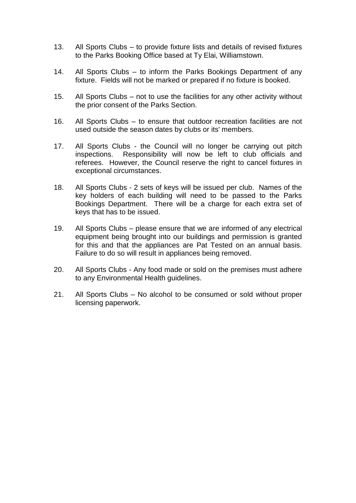- 13. All Sports Clubs to provide fixture lists and details of revised fixtures to the Parks Booking Office based at Ty Elai, Williamstown.
- 14. All Sports Clubs to inform the Parks Bookings Department of any fixture. Fields will not be marked or prepared if no fixture is booked.
- 15. All Sports Clubs not to use the facilities for any other activity without the prior consent of the Parks Section.
- 16. All Sports Clubs to ensure that outdoor recreation facilities are not used outside the season dates by clubs or its' members.
- 17. All Sports Clubs the Council will no longer be carrying out pitch inspections. Responsibility will now be left to club officials and referees. However, the Council reserve the right to cancel fixtures in exceptional circumstances.
- 18. All Sports Clubs 2 sets of keys will be issued per club. Names of the key holders of each building will need to be passed to the Parks Bookings Department. There will be a charge for each extra set of keys that has to be issued.
- 19. All Sports Clubs please ensure that we are informed of any electrical equipment being brought into our buildings and permission is granted for this and that the appliances are Pat Tested on an annual basis. Failure to do so will result in appliances being removed.
- 20. All Sports Clubs Any food made or sold on the premises must adhere to any Environmental Health guidelines.
- 21. All Sports Clubs No alcohol to be consumed or sold without proper licensing paperwork.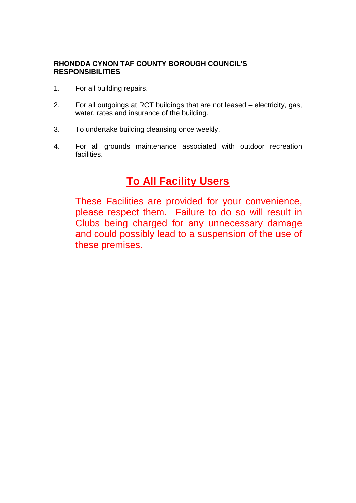### **RHONDDA CYNON TAF COUNTY BOROUGH COUNCIL'S RESPONSIBILITIES**

- 1. For all building repairs.
- 2. For all outgoings at RCT buildings that are not leased electricity, gas, water, rates and insurance of the building.
- 3. To undertake building cleansing once weekly.
- 4. For all grounds maintenance associated with outdoor recreation facilities.

# **To All Facility Users**

These Facilities are provided for your convenience, please respect them. Failure to do so will result in Clubs being charged for any unnecessary damage and could possibly lead to a suspension of the use of these premises.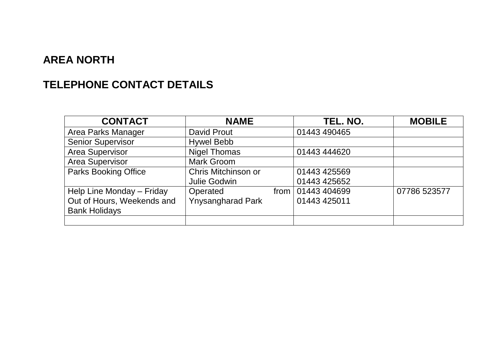# **AREA NORTH**

# **TELEPHONE CONTACT DETAILS**

| <b>CONTACT</b>              | <b>NAME</b>              | TEL. NO.            | <b>MOBILE</b> |
|-----------------------------|--------------------------|---------------------|---------------|
| Area Parks Manager          | David Prout              | 01443 490465        |               |
| <b>Senior Supervisor</b>    | <b>Hywel Bebb</b>        |                     |               |
| <b>Area Supervisor</b>      | <b>Nigel Thomas</b>      | 01443 444620        |               |
| Area Supervisor             | <b>Mark Groom</b>        |                     |               |
| <b>Parks Booking Office</b> | Chris Mitchinson or      | 01443 425569        |               |
|                             | Julie Godwin             | 01443 425652        |               |
| Help Line Monday - Friday   | Operated                 | from   01443 404699 | 07786 523577  |
| Out of Hours, Weekends and  | <b>Ynysangharad Park</b> | 01443 425011        |               |
| <b>Bank Holidays</b>        |                          |                     |               |
|                             |                          |                     |               |